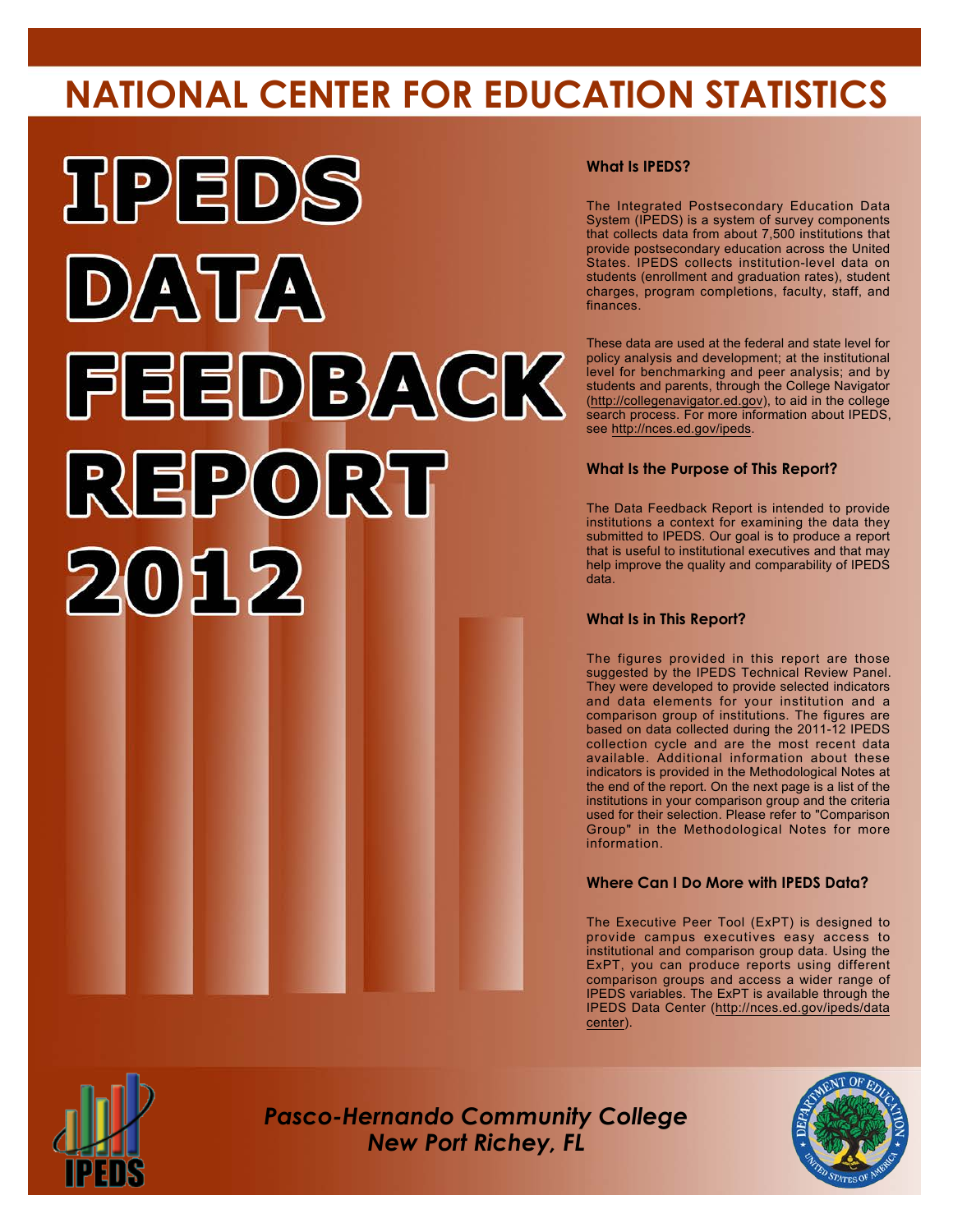# **NATIONAL CENTER FOR EDUCATION STATISTICS**



#### **What Is IPEDS?**

The Integrated Postsecondary Education Data System (IPEDS) is a system of survey components that collects data from about 7,500 institutions that provide postsecondary education across the United States. IPEDS collects institution-level data on students (enrollment and graduation rates), student charges, program completions, faculty, staff, and finances.

These data are used at the federal and state level for policy analysis and development; at the institutional level for benchmarking and peer analysis; and by students and parents, through the College Navigator (<http://collegenavigator.ed.gov>), to aid in the college search process. For more information about IPEDS, see [http://nces.ed.gov/ipeds.](http://nces.ed.gov/ipeds)

#### **What Is the Purpose of This Report?**

The Data Feedback Report is intended to provide institutions a context for examining the data they submitted to IPEDS. Our goal is to produce a report that is useful to institutional executives and that may help improve the quality and comparability of IPEDS data.

#### **What Is in This Report?**

The figures provided in this report are those suggested by the IPEDS Technical Review Panel. They were developed to provide selected indicators and data elements for your institution and a comparison group of institutions. The figures are based on data collected during the 2011-12 IPEDS collection cycle and are the most recent data available. Additional information about these indicators is provided in the Methodological Notes at the end of the report. On the next page is a list of the institutions in your comparison group and the criteria used for their selection. Please refer to "Comparison Group" in the Methodological Notes for more information.

#### **Where Can I Do More with IPEDS Data?**

The Executive Peer Tool (ExPT) is designed to provide campus executives easy access to institutional and comparison group data. Using the ExPT, you can produce reports using different comparison groups and access a wider range of IPEDS variables. The ExPT is available through the IPEDS Data Center ([http://nces.ed.gov/ipeds/data](http://nces.ed.gov/ipeds/datacenter) [center](http://nces.ed.gov/ipeds/datacenter)).



Image description. Cover Image End of image description.

*Pasco-Hernando Community College New Port Richey, FL*

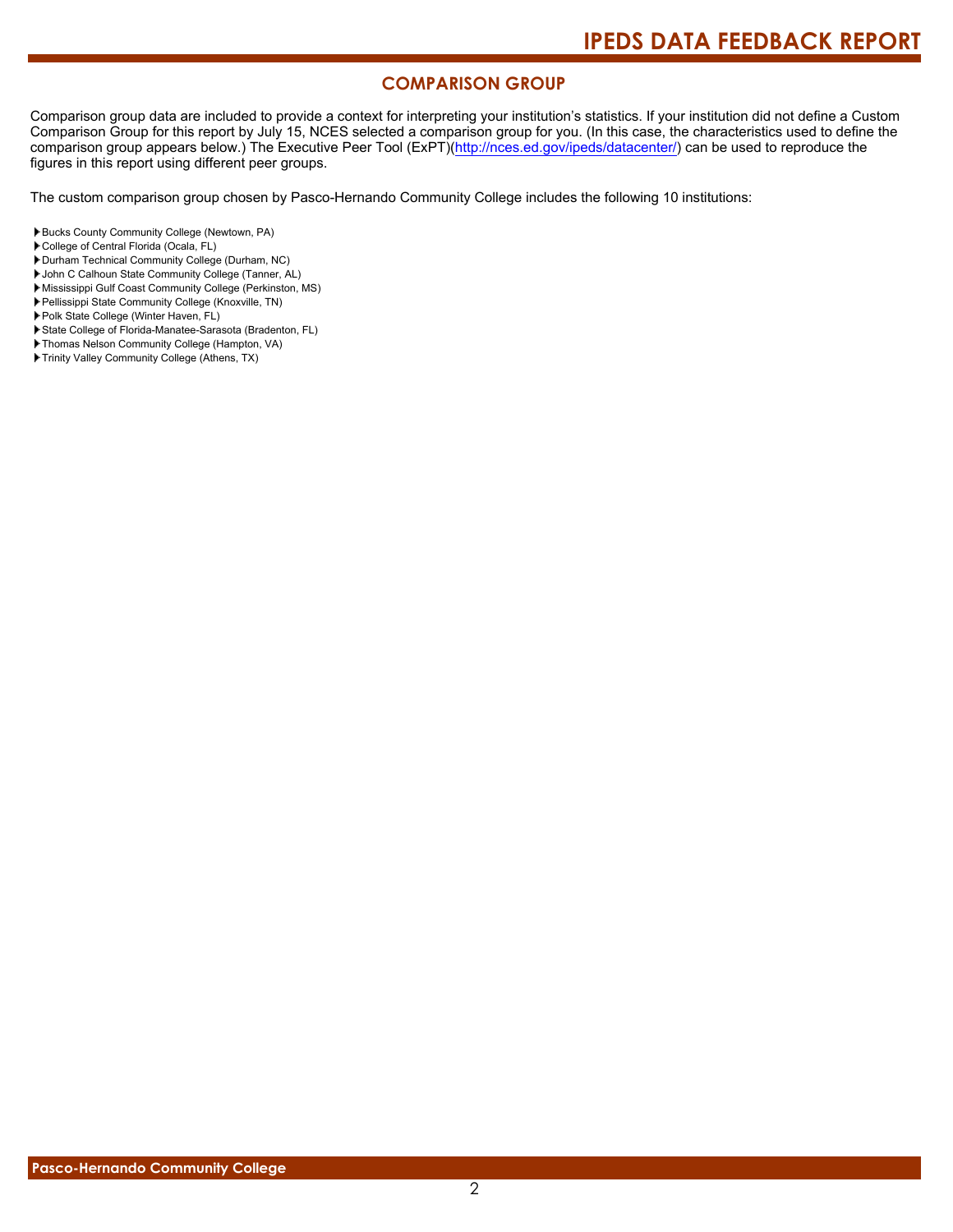#### **COMPARISON GROUP**

Comparison group data are included to provide a context for interpreting your institution's statistics. If your institution did not define a Custom Comparison Group for this report by July 15, NCES selected a comparison group for you. (In this case, the characteristics used to define the comparison group appears below.) The Executive Peer Tool (ExPT)[\(http://nces.ed.gov/ipeds/datacenter/\)](http://nces.ed.gov/ipeds/datacenter/) can be used to reproduce the figures in this report using different peer groups.

The custom comparison group chosen by Pasco-Hernando Community College includes the following 10 institutions:

- College of Central Florida (Ocala, FL)
- Durham Technical Community College (Durham, NC)
- John C Calhoun State Community College (Tanner, AL)
- Mississippi Gulf Coast Community College (Perkinston, MS)
- Pellissippi State Community College (Knoxville, TN)
- Polk State College (Winter Haven, FL)
- State College of Florida-Manatee-Sarasota (Bradenton, FL)
- Thomas Nelson Community College (Hampton, VA)
- Trinity Valley Community College (Athens, TX)

Bucks County Community College (Newtown, PA)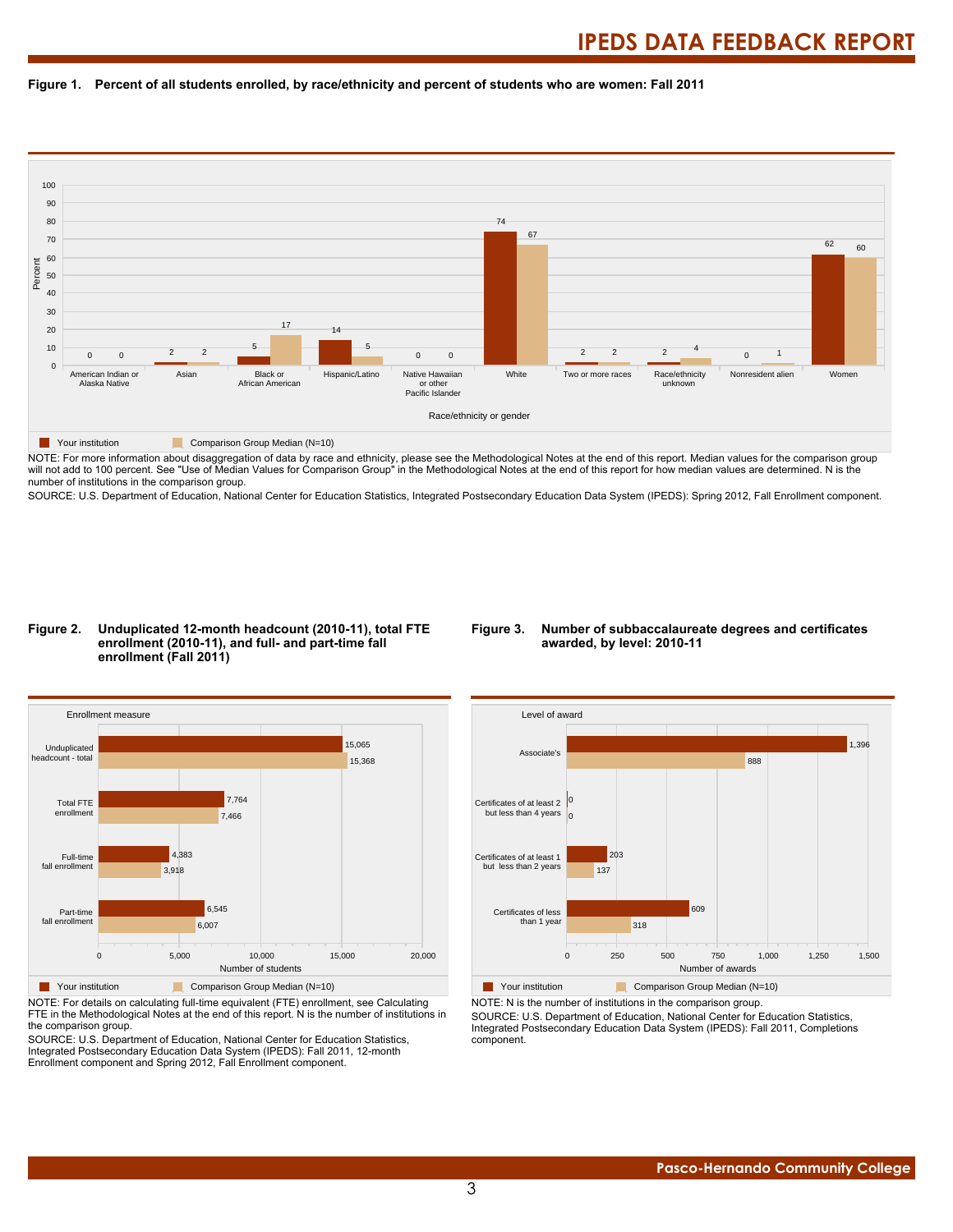



NOTE: For more information about disaggregation of data by race and ethnicity, please see the Methodological Notes at the end of this report. Median values for the comparison group will not add to 100 percent. See "Use of Median Values for Comparison Group" in the Methodological Notes at the end of this report for how median values are determined. N is the number of institutions in the comparison group.

SOURCE: U.S. Department of Education, National Center for Education Statistics, Integrated Postsecondary Education Data System (IPEDS): Spring 2012, Fall Enrollment component.

#### **Figure 2. Unduplicated 12-month headcount (2010-11), total FTE enrollment (2010-11), and full- and part-time fall enrollment (Fall 2011)**

#### **Figure 3. Number of subbaccalaureate degrees and certificates awarded, by level: 2010-11**



NOTE: For details on calculating full-time equivalent (FTE) enrollment, see Calculating FTE in the Methodological Notes at the end of this report. N is the number of institutions in the comparison group.

SOURCE: U.S. Department of Education, National Center for Education Statistics, Integrated Postsecondary Education Data System (IPEDS): Fall 2011, 12-month Enrollment component and Spring 2012, Fall Enrollment component.



NOTE: N is the number of institutions in the comparison group.

SOURCE: U.S. Department of Education, National Center for Education Statistics, Integrated Postsecondary Education Data System (IPEDS): Fall 2011, Completions component.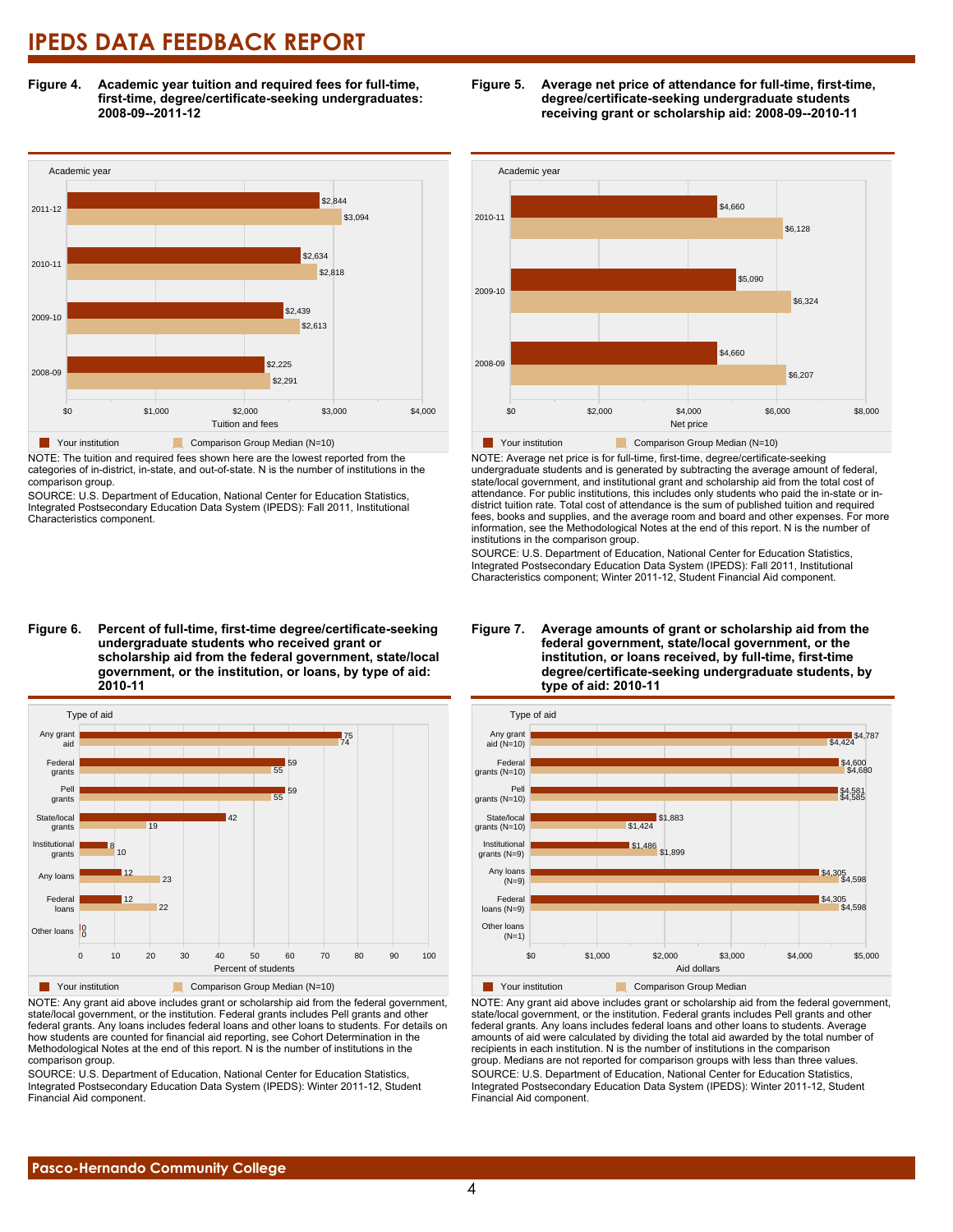**Figure 4. Academic year tuition and required fees for full-time, first-time, degree/certificate-seeking undergraduates: 2008-09--2011-12**



NOTE: The tuition and required fees shown here are the lowest reported from the categories of in-district, in-state, and out-of-state. N is the number of institutions in the comparison group.

SOURCE: U.S. Department of Education, National Center for Education Statistics, Integrated Postsecondary Education Data System (IPEDS): Fall 2011, Institutional Characteristics component.



**scholarship aid from the federal government, state/local government, or the institution, or loans, by type of aid: 2010-11**



NOTE: Any grant aid above includes grant or scholarship aid from the federal government, state/local government, or the institution. Federal grants includes Pell grants and other federal grants. Any loans includes federal loans and other loans to students. For details on how students are counted for financial aid reporting, see Cohort Determination in the Methodological Notes at the end of this report. N is the number of institutions in the comparison group.

SOURCE: U.S. Department of Education, National Center for Education Statistics, Integrated Postsecondary Education Data System (IPEDS): Winter 2011-12, Student Financial Aid component.





NOTE: Average net price is for full-time, first-time, degree/certificate-seeking undergraduate students and is generated by subtracting the average amount of federal, state/local government, and institutional grant and scholarship aid from the total cost of attendance. For public institutions, this includes only students who paid the in-state or indistrict tuition rate. Total cost of attendance is the sum of published tuition and required fees, books and supplies, and the average room and board and other expenses. For more information, see the Methodological Notes at the end of this report. N is the number of institutions in the comparison group.

SOURCE: U.S. Department of Education, National Center for Education Statistics, Integrated Postsecondary Education Data System (IPEDS): Fall 2011, Institutional Characteristics component; Winter 2011-12, Student Financial Aid component.





NOTE: Any grant aid above includes grant or scholarship aid from the federal government, state/local government, or the institution. Federal grants includes Pell grants and other federal grants. Any loans includes federal loans and other loans to students. Average amounts of aid were calculated by dividing the total aid awarded by the total number of recipients in each institution. N is the number of institutions in the comparison group. Medians are not reported for comparison groups with less than three values. SOURCE: U.S. Department of Education, National Center for Education Statistics, Integrated Postsecondary Education Data System (IPEDS): Winter 2011-12, Student Financial Aid component.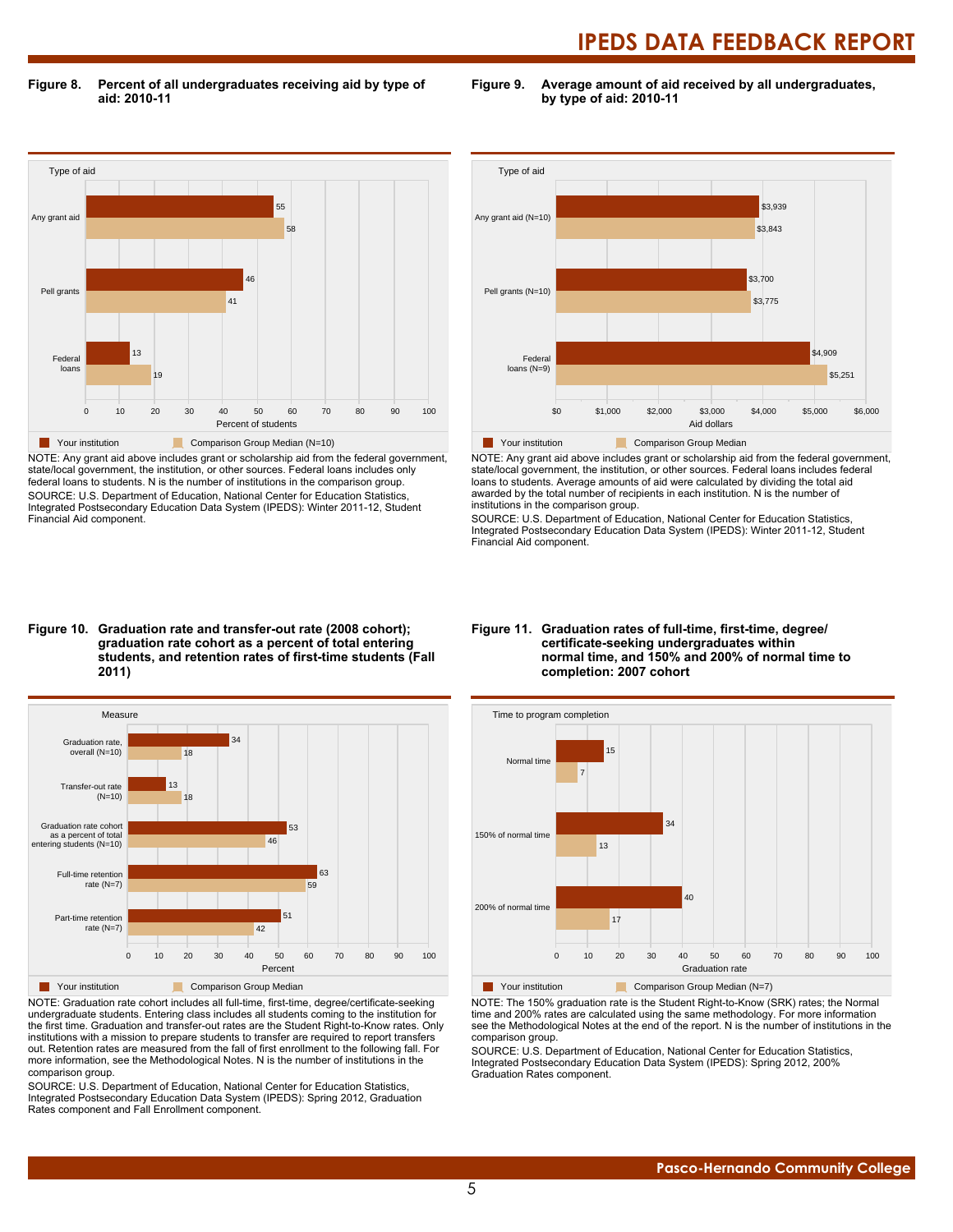**Figure 8. Percent of all undergraduates receiving aid by type of aid: 2010-11**

**Figure 9. Average amount of aid received by all undergraduates, by type of aid: 2010-11**



NOTE: Any grant aid above includes grant or scholarship aid from the federal government, state/local government, the institution, or other sources. Federal loans includes only federal loans to students. N is the number of institutions in the comparison group. SOURCE: U.S. Department of Education, National Center for Education Statistics, Integrated Postsecondary Education Data System (IPEDS): Winter 2011-12, Student Financial Aid component.



NOTE: Any grant aid above includes grant or scholarship aid from the federal government, state/local government, the institution, or other sources. Federal loans includes federal loans to students. Average amounts of aid were calculated by dividing the total aid awarded by the total number of recipients in each institution. N is the number of institutions in the comparison group.

SOURCE: U.S. Department of Education, National Center for Education Statistics, Integrated Postsecondary Education Data System (IPEDS): Winter 2011-12, Student Financial Aid component.

#### **Figure 10. Graduation rate and transfer-out rate (2008 cohort); graduation rate cohort as a percent of total entering students, and retention rates of first-time students (Fall 2011)**



NOTE: Graduation rate cohort includes all full-time, first-time, degree/certificate-seeking undergraduate students. Entering class includes all students coming to the institution for the first time. Graduation and transfer-out rates are the Student Right-to-Know rates. Only institutions with a mission to prepare students to transfer are required to report transfers out. Retention rates are measured from the fall of first enrollment to the following fall. For more information, see the Methodological Notes. N is the number of institutions in the comparison group.

SOURCE: U.S. Department of Education, National Center for Education Statistics, Integrated Postsecondary Education Data System (IPEDS): Spring 2012, Graduation Rates component and Fall Enrollment component.

#### **Figure 11. Graduation rates of full-time, first-time, degree/ certificate-seeking undergraduates within normal time, and 150% and 200% of normal time to completion: 2007 cohort**



NOTE: The 150% graduation rate is the Student Right-to-Know (SRK) rates; the Normal time and 200% rates are calculated using the same methodology. For more information see the Methodological Notes at the end of the report. N is the number of institutions in the comparison group.

SOURCE: U.S. Department of Education, National Center for Education Statistics, Integrated Postsecondary Education Data System (IPEDS): Spring 2012, 200% Graduation Rates component.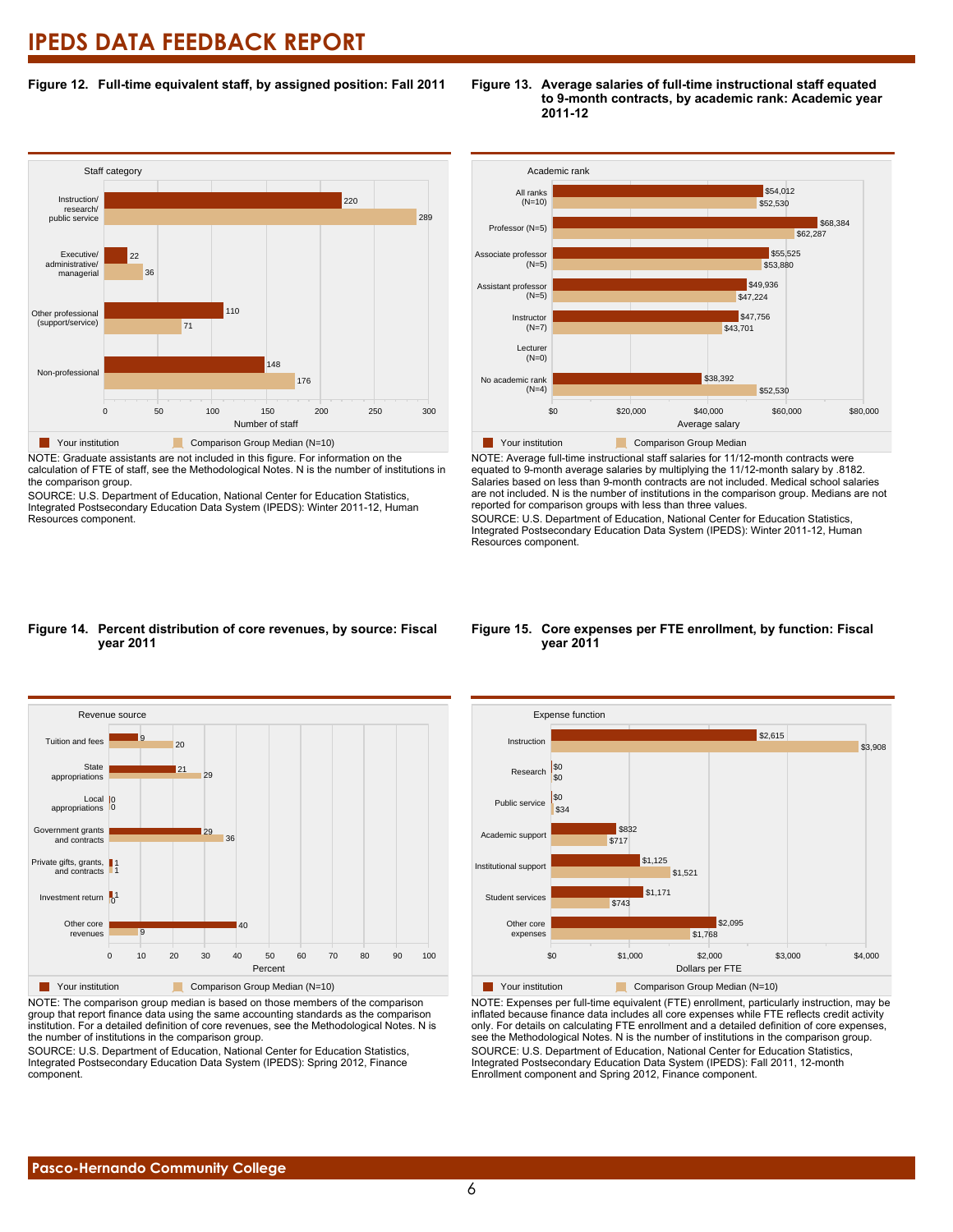#### **Figure 12. Full-time equivalent staff, by assigned position: Fall 2011**

#### **Staff category** 0 50 100 150 200 250 300 Number of staff Non-professional Other professional (support/service) Executive/ administrative/ managerial Instruction/ research/ public service 176  $48$ 71 110 36 22 289 220 **Your institution** Comparison Group Median (N=10)

NOTE: Graduate assistants are not included in this figure. For information on the calculation of FTE of staff, see the Methodological Notes. N is the number of institutions in the comparison group.

SOURCE: U.S. Department of Education, National Center for Education Statistics, Integrated Postsecondary Education Data System (IPEDS): Winter 2011-12, Human Resources component.



**Figure 13. Average salaries of full-time instructional staff equated**

**2011-12**

**to 9-month contracts, by academic rank: Academic year**

**Table Your institution** Comparison Group Median

NOTE: Average full-time instructional staff salaries for 11/12-month contracts were equated to 9-month average salaries by multiplying the 11/12-month salary by .8182. Salaries based on less than 9-month contracts are not included. Medical school salaries are not included. N is the number of institutions in the comparison group. Medians are not reported for comparison groups with less than three values.

SOURCE: U.S. Department of Education, National Center for Education Statistics, Integrated Postsecondary Education Data System (IPEDS): Winter 2011-12, Human Resources component.

#### **Figure 14. Percent distribution of core revenues, by source: Fiscal year 2011**



NOTE: The comparison group median is based on those members of the comparison group that report finance data using the same accounting standards as the comparison institution. For a detailed definition of core revenues, see the Methodological Notes. N is the number of institutions in the comparison group.

SOURCE: U.S. Department of Education, National Center for Education Statistics, Integrated Postsecondary Education Data System (IPEDS): Spring 2012, Finance component.

#### **Figure 15. Core expenses per FTE enrollment, by function: Fiscal year 2011**



NOTE: Expenses per full-time equivalent (FTE) enrollment, particularly instruction, may be inflated because finance data includes all core expenses while FTE reflects credit activity only. For details on calculating FTE enrollment and a detailed definition of core expenses, see the Methodological Notes. N is the number of institutions in the comparison group. SOURCE: U.S. Department of Education, National Center for Education Statistics, Integrated Postsecondary Education Data System (IPEDS): Fall 2011, 12-month Enrollment component and Spring 2012, Finance component.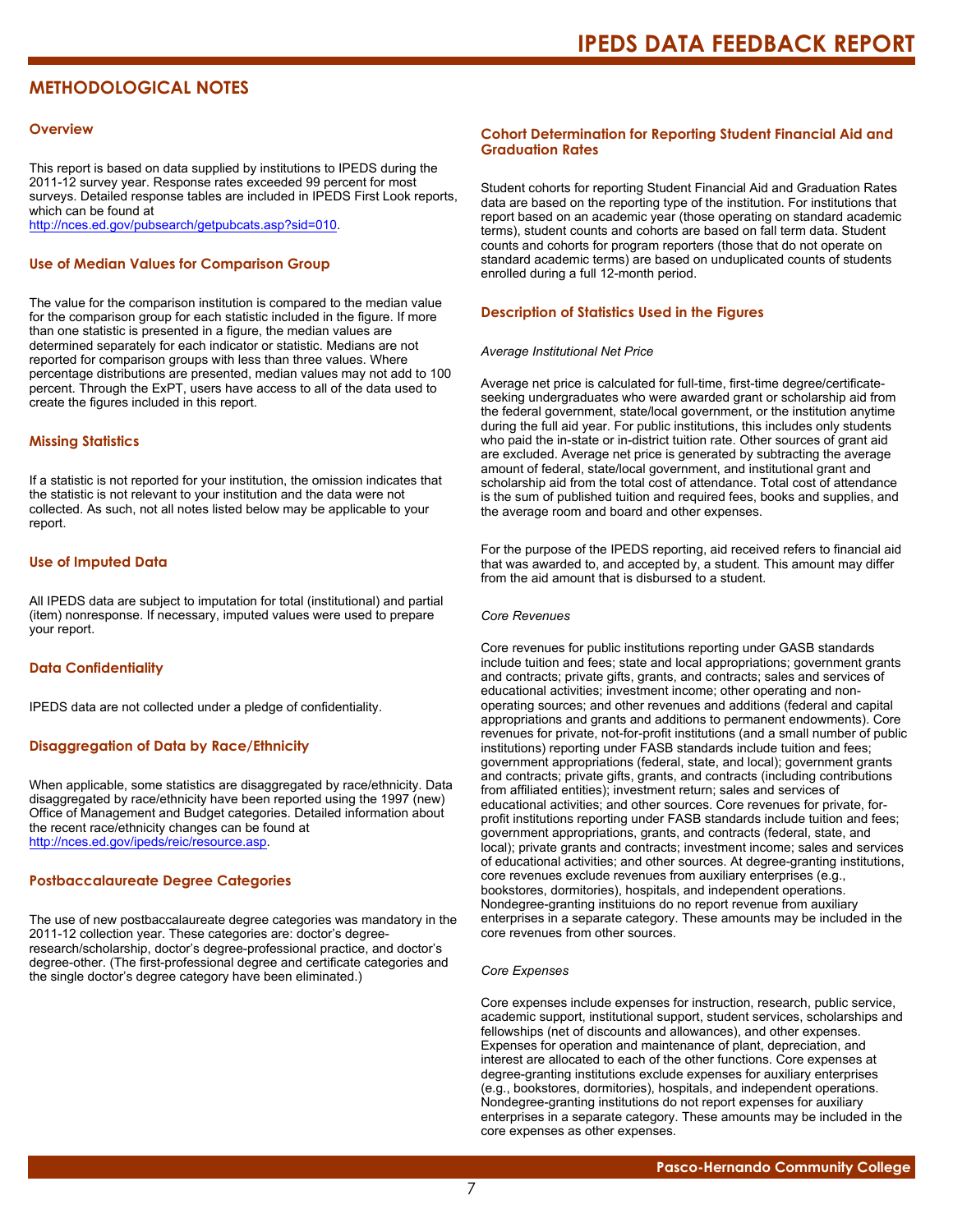### **METHODOLOGICAL NOTES**

#### **Overview**

This report is based on data supplied by institutions to IPEDS during the 2011-12 survey year. Response rates exceeded 99 percent for most surveys. Detailed response tables are included in IPEDS First Look reports, which can be found at [http://nces.ed.gov/pubsearch/getpubcats.asp?sid=010.](http://nces.ed.gov/pubsearch/getpubcats.asp?sid=010)

#### **Use of Median Values for Comparison Group**

The value for the comparison institution is compared to the median value for the comparison group for each statistic included in the figure. If more than one statistic is presented in a figure, the median values are determined separately for each indicator or statistic. Medians are not reported for comparison groups with less than three values. Where percentage distributions are presented, median values may not add to 100 percent. Through the ExPT, users have access to all of the data used to create the figures included in this report.

#### **Missing Statistics**

If a statistic is not reported for your institution, the omission indicates that the statistic is not relevant to your institution and the data were not collected. As such, not all notes listed below may be applicable to your report.

#### **Use of Imputed Data**

All IPEDS data are subject to imputation for total (institutional) and partial (item) nonresponse. If necessary, imputed values were used to prepare your report.

#### **Data Confidentiality**

IPEDS data are not collected under a pledge of confidentiality.

#### **Disaggregation of Data by Race/Ethnicity**

When applicable, some statistics are disaggregated by race/ethnicity. Data disaggregated by race/ethnicity have been reported using the 1997 (new) Office of Management and Budget categories. Detailed information about the recent race/ethnicity changes can be found at <http://nces.ed.gov/ipeds/reic/resource.asp>.

#### **Postbaccalaureate Degree Categories**

The use of new postbaccalaureate degree categories was mandatory in the 2011-12 collection year. These categories are: doctor's degreeresearch/scholarship, doctor's degree-professional practice, and doctor's degree-other. (The first-professional degree and certificate categories and the single doctor's degree category have been eliminated.)

#### **Cohort Determination for Reporting Student Financial Aid and Graduation Rates**

Student cohorts for reporting Student Financial Aid and Graduation Rates data are based on the reporting type of the institution. For institutions that report based on an academic year (those operating on standard academic terms), student counts and cohorts are based on fall term data. Student counts and cohorts for program reporters (those that do not operate on standard academic terms) are based on unduplicated counts of students enrolled during a full 12-month period.

#### **Description of Statistics Used in the Figures**

#### *Average Institutional Net Price*

Average net price is calculated for full-time, first-time degree/certificateseeking undergraduates who were awarded grant or scholarship aid from the federal government, state/local government, or the institution anytime during the full aid year. For public institutions, this includes only students who paid the in-state or in-district tuition rate. Other sources of grant aid are excluded. Average net price is generated by subtracting the average amount of federal, state/local government, and institutional grant and scholarship aid from the total cost of attendance. Total cost of attendance is the sum of published tuition and required fees, books and supplies, and the average room and board and other expenses.

For the purpose of the IPEDS reporting, aid received refers to financial aid that was awarded to, and accepted by, a student. This amount may differ from the aid amount that is disbursed to a student.

#### *Core Revenues*

Core revenues for public institutions reporting under GASB standards include tuition and fees; state and local appropriations; government grants and contracts; private gifts, grants, and contracts; sales and services of educational activities; investment income; other operating and nonoperating sources; and other revenues and additions (federal and capital appropriations and grants and additions to permanent endowments). Core revenues for private, not-for-profit institutions (and a small number of public institutions) reporting under FASB standards include tuition and fees; government appropriations (federal, state, and local); government grants and contracts; private gifts, grants, and contracts (including contributions from affiliated entities); investment return; sales and services of educational activities; and other sources. Core revenues for private, forprofit institutions reporting under FASB standards include tuition and fees; government appropriations, grants, and contracts (federal, state, and local); private grants and contracts; investment income; sales and services of educational activities; and other sources. At degree-granting institutions, core revenues exclude revenues from auxiliary enterprises (e.g., bookstores, dormitories), hospitals, and independent operations. Nondegree-granting instituions do no report revenue from auxiliary enterprises in a separate category. These amounts may be included in the core revenues from other sources.

#### *Core Expenses*

Core expenses include expenses for instruction, research, public service, academic support, institutional support, student services, scholarships and fellowships (net of discounts and allowances), and other expenses. Expenses for operation and maintenance of plant, depreciation, and interest are allocated to each of the other functions. Core expenses at degree-granting institutions exclude expenses for auxiliary enterprises (e.g., bookstores, dormitories), hospitals, and independent operations. Nondegree-granting institutions do not report expenses for auxiliary enterprises in a separate category. These amounts may be included in the core expenses as other expenses.